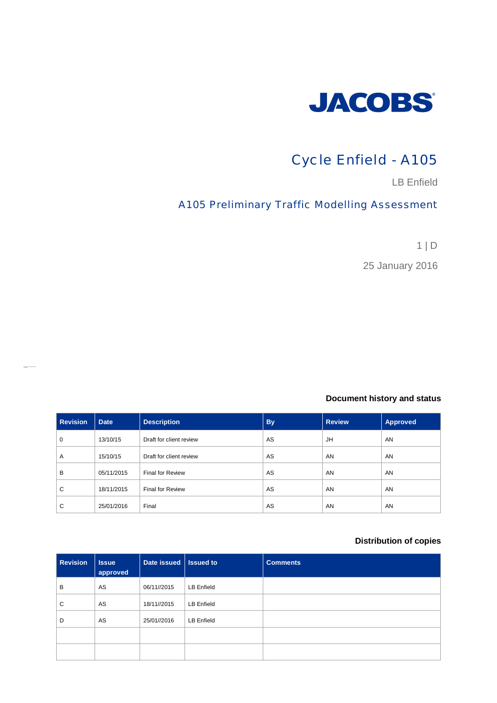

# Cycle Enfield - A105

LB Enfield

## A105 Preliminary Traffic Modelling Assessment

1 | D

25 January 2016

#### **Document history and status**

| <b>Revision</b> | <b>Date</b> | <b>Description</b>      | <b>By</b> | <b>Review</b> | <b>Approved</b> |
|-----------------|-------------|-------------------------|-----------|---------------|-----------------|
| 0               | 13/10/15    | Draft for client review | AS        | JH            | AN              |
| Α               | 15/10/15    | Draft for client review | AS        | AN            | AN              |
| B               | 05/11/2015  | <b>Final for Review</b> | AS        | AN            | AN              |
| C               | 18/11/2015  | <b>Final for Review</b> | AS        | AN            | AN              |
| C               | 25/01/2016  | Final                   | AS        | AN            | AN              |

#### **Distribution of copies**

| <b>Revision</b> | <b>Issue</b><br>approved | Date issued   Issued to |            | <b>Comments</b> |
|-----------------|--------------------------|-------------------------|------------|-----------------|
| B               | AS                       | 06/11//2015             | LB Enfield |                 |
| C               | AS                       | 18/11//2015             | LB Enfield |                 |
| D               | AS                       | 25/01//2016             | LB Enfield |                 |
|                 |                          |                         |            |                 |
|                 |                          |                         |            |                 |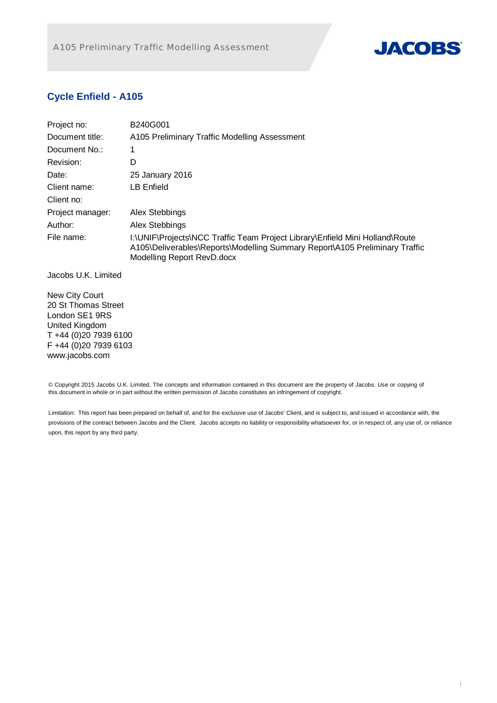

## **Cycle Enfield - A105**

| Project no:      | B240G001                                                                                                                                                                                  |
|------------------|-------------------------------------------------------------------------------------------------------------------------------------------------------------------------------------------|
| Document title:  | A105 Preliminary Traffic Modelling Assessment                                                                                                                                             |
| Document No.:    |                                                                                                                                                                                           |
| Revision:        | D                                                                                                                                                                                         |
| Date:            | 25 January 2016                                                                                                                                                                           |
| Client name:     | LB Enfield                                                                                                                                                                                |
| Client no:       |                                                                                                                                                                                           |
| Project manager: | Alex Stebbings                                                                                                                                                                            |
| Author:          | Alex Stebbings                                                                                                                                                                            |
| File name:       | I:\UNIF\Projects\NCC Traffic Team Project Library\Enfield Mini Holland\Route<br>A105\Deliverables\Reports\Modelling Summary Report\A105 Preliminary Traffic<br>Modelling Report RevD.docx |

Jacobs U.K. Limited

New City Court 20 St Thomas Street London SE1 9RS United Kingdom T +44 (0)20 7939 6100 F +44 (0)20 7939 6103 www.jacobs.com

© Copyright 2015 Jacobs U.K. Limited. The concepts and information contained in this document are the property of Jacobs. Use or copying of this document in whole or in part without the written permission of Jacobs constitutes an infringement of copyright.

Limitation: This report has been prepared on behalf of, and for the exclusive use of Jacobs' Client, and is subject to, and issued in accordance with, the provisions of the contract between Jacobs and the Client. Jacobs accepts no liability or responsibility whatsoever for, or in respect of, any use of, or reliance upon, this report by any third party.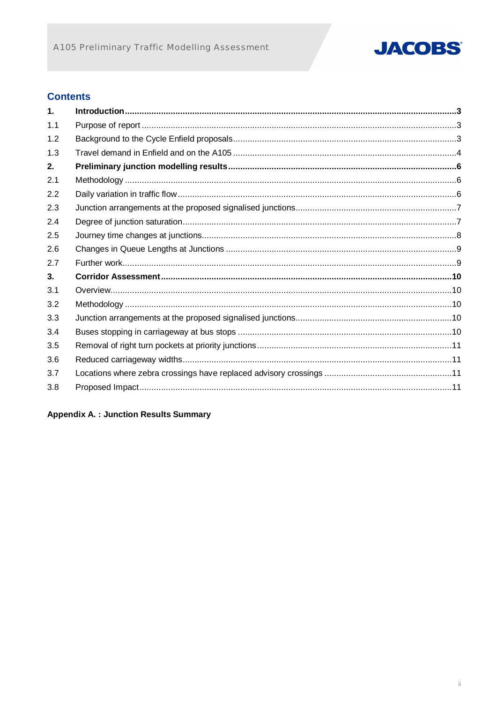

### **Contents**

| 1.  |  |
|-----|--|
| 1.1 |  |
| 1.2 |  |
| 1.3 |  |
| 2.  |  |
| 2.1 |  |
| 2.2 |  |
| 2.3 |  |
| 2.4 |  |
| 2.5 |  |
| 2.6 |  |
| 2.7 |  |
| 3.  |  |
| 3.1 |  |
| 3.2 |  |
| 3.3 |  |
| 3.4 |  |
| 3.5 |  |
| 3.6 |  |
| 3.7 |  |
| 3.8 |  |

**Appendix A. : Junction Results Summary**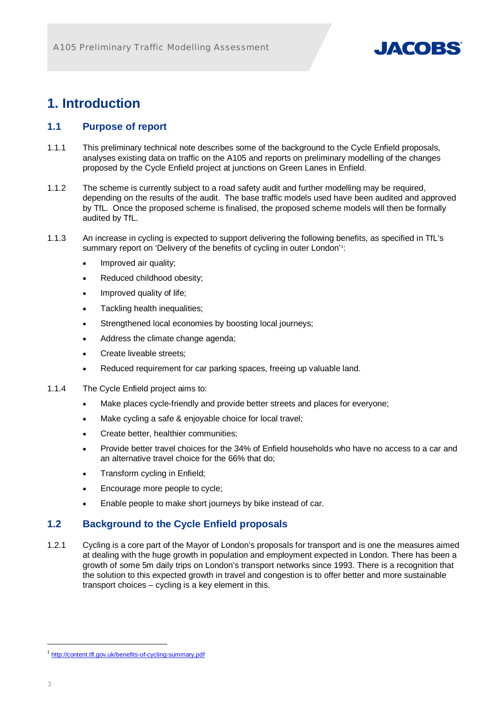

# **1. Introduction**

### **1.1 Purpose of report**

- 1.1.1 This preliminary technical note describes some of the background to the Cycle Enfield proposals, analyses existing data on traffic on the A105 and reports on preliminary modelling of the changes proposed by the Cycle Enfield project at junctions on Green Lanes in Enfield.
- 1.1.2 The scheme is currently subject to a road safety audit and further modelling may be required, depending on the results of the audit. The base traffic models used have been audited and approved by TfL. Once the proposed scheme is finalised, the proposed scheme models will then be formally audited by TfL.
- 1.1.3 An increase in cycling is expected to support delivering the following benefits, as specified in TfL's summary report on 'Delivery of the benefits of cycling in outer London'<sup>1</sup>:
	- Improved air quality;
	- Reduced childhood obesity;
	- Improved quality of life;
	- Tackling health inequalities;
	- Strengthened local economies by boosting local journeys;
	- Address the climate change agenda;
	- Create liveable streets:
	- Reduced requirement for car parking spaces, freeing up valuable land.
- 1.1.4 The Cycle Enfield project aims to:
	- Make places cycle-friendly and provide better streets and places for everyone;
	- Make cycling a safe & enjoyable choice for local travel;
	- Create better, healthier communities;
	- Provide better travel choices for the 34% of Enfield households who have no access to a car and an alternative travel choice for the 66% that do;
	- Transform cycling in Enfield:
	- Encourage more people to cycle;
	- Enable people to make short journeys by bike instead of car.

### **1.2 Background to the Cycle Enfield proposals**

1.2.1 Cycling is a core part of the Mayor of London's proposals for transport and is one the measures aimed at dealing with the huge growth in population and employment expected in London. There has been a growth of some 5m daily trips on London's transport networks since 1993. There is a recognition that the solution to this expected growth in travel and congestion is to offer better and more sustainable transport choices – cycling is a key element in this.

-

<sup>1</sup> http://content.tfl.gov.uk/benefits-of-cycling-summary.pdf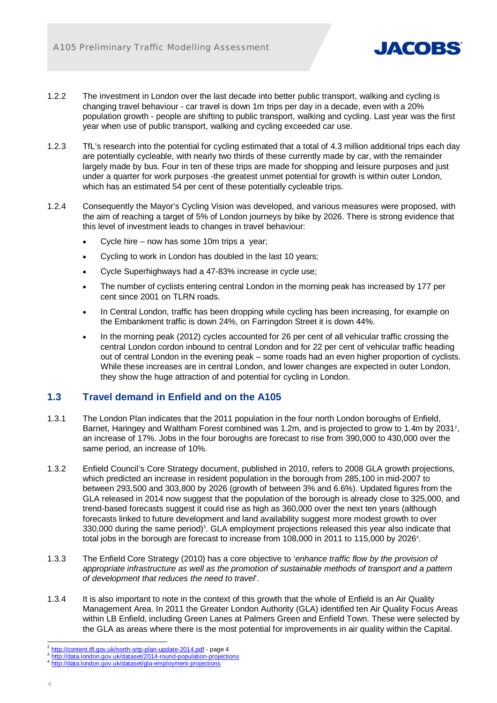

- 1.2.2 The investment in London over the last decade into better public transport, walking and cycling is changing travel behaviour - car travel is down 1m trips per day in a decade, even with a 20% population growth - people are shifting to public transport, walking and cycling. Last year was the first year when use of public transport, walking and cycling exceeded car use.
- 1.2.3 TfL's research into the potential for cycling estimated that a total of 4.3 million additional trips each day are potentially cycleable, with nearly two thirds of these currently made by car, with the remainder largely made by bus. Four in ten of these trips are made for shopping and leisure purposes and just under a quarter for work purposes -the greatest unmet potential for growth is within outer London, which has an estimated 54 per cent of these potentially cycleable trips.
- 1.2.4 Consequently the Mayor's Cycling Vision was developed, and various measures were proposed, with the aim of reaching a target of 5% of London journeys by bike by 2026. There is strong evidence that this level of investment leads to changes in travel behaviour:
	- x Cycle hire now has some 10m trips a year;
	- Cycling to work in London has doubled in the last 10 years;
	- Cycle Superhighways had a 47-83% increase in cycle use;
	- The number of cyclists entering central London in the morning peak has increased by 177 per cent since 2001 on TLRN roads.
	- In Central London, traffic has been dropping while cycling has been increasing, for example on the Embankment traffic is down 24%, on Farringdon Street it is down 44%.
	- In the morning peak (2012) cycles accounted for 26 per cent of all vehicular traffic crossing the central London cordon inbound to central London and for 22 per cent of vehicular traffic heading out of central London in the evening peak – some roads had an even higher proportion of cyclists. While these increases are in central London, and lower changes are expected in outer London, they show the huge attraction of and potential for cycling in London.

### **1.3 Travel demand in Enfield and on the A105**

- 1.3.1 The London Plan indicates that the 2011 population in the four north London boroughs of Enfield, Barnet, Haringey and Waltham Forest combined was 1.2m, and is projected to grow to 1.4m by 2031<sup>2</sup>, an increase of 17%. Jobs in the four boroughs are forecast to rise from 390,000 to 430,000 over the same period, an increase of 10%.
- 1.3.2 Enfield Council's Core Strategy document, published in 2010, refers to 2008 GLA growth projections, which predicted an increase in resident population in the borough from 285,100 in mid-2007 to between 293,500 and 303,800 by 2026 (growth of between 3% and 6.6%). Updated figures from the GLA released in 2014 now suggest that the population of the borough is already close to 325,000, and trend-based forecasts suggest it could rise as high as 360,000 over the next ten years (although forecasts linked to future development and land availability suggest more modest growth to over 330,000 during the same period)<sup>3</sup>. GLA employment projections released this year also indicate that total jobs in the borough are forecast to increase from  $108,000$  in 2011 to 115,000 by 2026 $4$ .
- 1.3.3 The Enfield Core Strategy (2010) has a core objective to '*enhance traffic flow by the provision of appropriate infrastructure as well as the promotion of sustainable methods of transport and a pattern of development that reduces the need to travel*'.
- 1.3.4 It is also important to note in the context of this growth that the whole of Enfield is an Air Quality Management Area. In 2011 the Greater London Authority (GLA) identified ten Air Quality Focus Areas within LB Enfield, including Green Lanes at Palmers Green and Enfield Town. These were selected by the GLA as areas where there is the most potential for improvements in air quality within the Capital.

1

<sup>2</sup> http://content.tfl.gov.uk/north-srtp-plan-update-2014.pdf - page 4

<sup>3</sup> http://data.london.gov.uk/dataset/2014-round-population-projections

<sup>4</sup> http://data<u>.london.gov.uk/dataset/gla-employment-projections</u>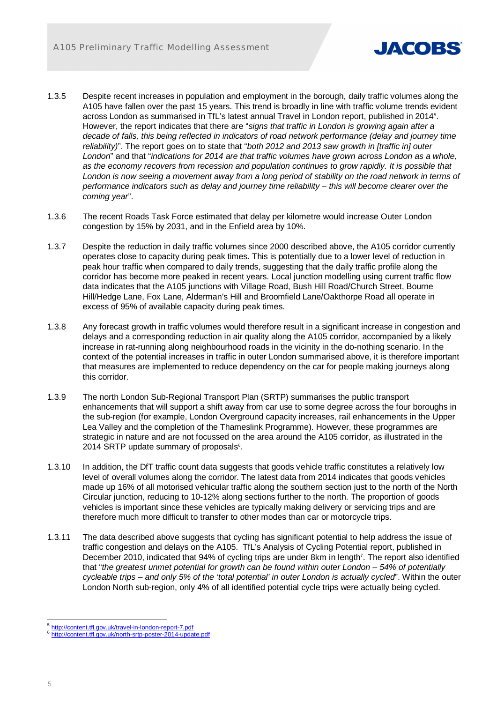

- 1.3.5 Despite recent increases in population and employment in the borough, daily traffic volumes along the A105 have fallen over the past 15 years. This trend is broadly in line with traffic volume trends evident across London as summarised in TfL's latest annual Travel in London report, published in 2014<sup>5</sup>. However, the report indicates that there are "*signs that traffic in London is growing again after a decade of falls, this being reflected in indicators of road network performance (delay and journey time reliability)*". The report goes on to state that "*both 2012 and 2013 saw growth in [traffic in] outer London*" and that "*indications for 2014 are that traffic volumes have grown across London as a whole, as the economy recovers from recession and population continues to grow rapidly. It is possible that*  London is now seeing a movement away from a long period of stability on the road network in terms of *performance indicators such as delay and journey time reliability – this will become clearer over the coming year*".
- 1.3.6 The recent Roads Task Force estimated that delay per kilometre would increase Outer London congestion by 15% by 2031, and in the Enfield area by 10%.
- 1.3.7 Despite the reduction in daily traffic volumes since 2000 described above, the A105 corridor currently operates close to capacity during peak times. This is potentially due to a lower level of reduction in peak hour traffic when compared to daily trends, suggesting that the daily traffic profile along the corridor has become more peaked in recent years. Local junction modelling using current traffic flow data indicates that the A105 junctions with Village Road, Bush Hill Road/Church Street, Bourne Hill/Hedge Lane, Fox Lane, Alderman's Hill and Broomfield Lane/Oakthorpe Road all operate in excess of 95% of available capacity during peak times.
- 1.3.8 Any forecast growth in traffic volumes would therefore result in a significant increase in congestion and delays and a corresponding reduction in air quality along the A105 corridor, accompanied by a likely increase in rat-running along neighbourhood roads in the vicinity in the do-nothing scenario. In the context of the potential increases in traffic in outer London summarised above, it is therefore important that measures are implemented to reduce dependency on the car for people making journeys along this corridor.
- 1.3.9 The north London Sub-Regional Transport Plan (SRTP) summarises the public transport enhancements that will support a shift away from car use to some degree across the four boroughs in the sub-region (for example, London Overground capacity increases, rail enhancements in the Upper Lea Valley and the completion of the Thameslink Programme). However, these programmes are strategic in nature and are not focussed on the area around the A105 corridor, as illustrated in the 2014 SRTP update summary of proposals<sup>6</sup>.
- 1.3.10 In addition, the DfT traffic count data suggests that goods vehicle traffic constitutes a relatively low level of overall volumes along the corridor. The latest data from 2014 indicates that goods vehicles made up 16% of all motorised vehicular traffic along the southern section just to the north of the North Circular junction, reducing to 10-12% along sections further to the north. The proportion of goods vehicles is important since these vehicles are typically making delivery or servicing trips and are therefore much more difficult to transfer to other modes than car or motorcycle trips.
- 1.3.11 The data described above suggests that cycling has significant potential to help address the issue of traffic congestion and delays on the A105. TfL's Analysis of Cycling Potential report, published in December 2010, indicated that 94% of cycling trips are under 8km in length<sup>7</sup>. The report also identified that "*the greatest unmet potential for growth can be found within outer London – 54% of potentially cycleable trips – and only 5% of the 'total potential' in outer London is actually cycled*". Within the outer London North sub-region, only 4% of all identified potential cycle trips were actually being cycled.

<sup>1</sup> 5 http://content.tfl.gov.uk/travel-in-london-report-7.pdf

<sup>6</sup> http://content.tfl.gov.uk/north-srtp-poster-2014-update.pdf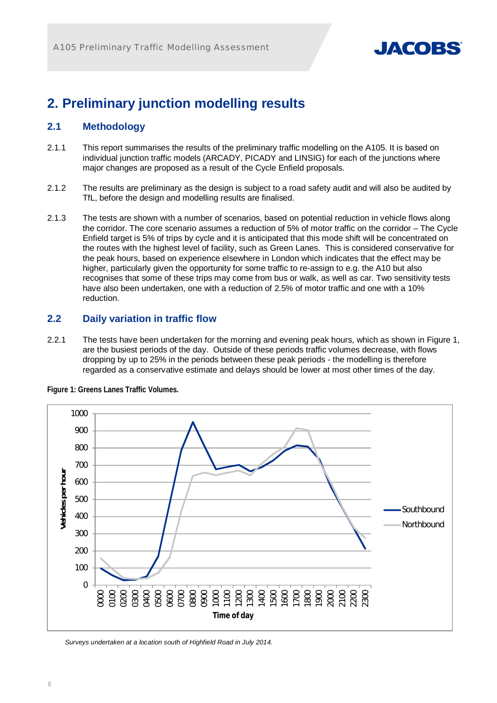

# **2. Preliminary junction modelling results**

#### **2.1 Methodology**

- 2.1.1 This report summarises the results of the preliminary traffic modelling on the A105. It is based on individual junction traffic models (ARCADY, PICADY and LINSIG) for each of the junctions where major changes are proposed as a result of the Cycle Enfield proposals.
- 2.1.2 The results are preliminary as the design is subject to a road safety audit and will also be audited by TfL, before the design and modelling results are finalised.
- 2.1.3 The tests are shown with a number of scenarios, based on potential reduction in vehicle flows along the corridor. The core scenario assumes a reduction of 5% of motor traffic on the corridor – The Cycle Enfield target is 5% of trips by cycle and it is anticipated that this mode shift will be concentrated on the routes with the highest level of facility, such as Green Lanes. This is considered conservative for the peak hours, based on experience elsewhere in London which indicates that the effect may be higher, particularly given the opportunity for some traffic to re-assign to e.g. the A10 but also recognises that some of these trips may come from bus or walk, as well as car. Two sensitivity tests have also been undertaken, one with a reduction of 2.5% of motor traffic and one with a 10% reduction.

#### **2.2 Daily variation in traffic flow**

2.2.1 The tests have been undertaken for the morning and evening peak hours, which as shown in Figure 1, are the busiest periods of the day. Outside of these periods traffic volumes decrease, with flows dropping by up to 25% in the periods between these peak periods - the modelling is therefore regarded as a conservative estimate and delays should be lower at most other times of the day.



**Figure 1: Greens Lanes Traffic Volumes.** 

*Surveys undertaken at a location south of Highfield Road in July 2014.*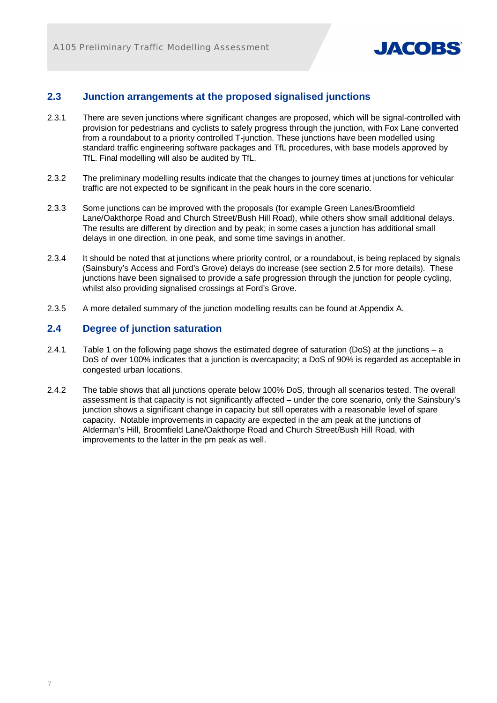

### **2.3 Junction arrangements at the proposed signalised junctions**

- 2.3.1 There are seven junctions where significant changes are proposed, which will be signal-controlled with provision for pedestrians and cyclists to safely progress through the junction, with Fox Lane converted from a roundabout to a priority controlled T-junction. These junctions have been modelled using standard traffic engineering software packages and TfL procedures, with base models approved by TfL. Final modelling will also be audited by TfL.
- 2.3.2 The preliminary modelling results indicate that the changes to journey times at junctions for vehicular traffic are not expected to be significant in the peak hours in the core scenario.
- 2.3.3 Some junctions can be improved with the proposals (for example Green Lanes/Broomfield Lane/Oakthorpe Road and Church Street/Bush Hill Road), while others show small additional delays. The results are different by direction and by peak; in some cases a junction has additional small delays in one direction, in one peak, and some time savings in another.
- 2.3.4 It should be noted that at junctions where priority control, or a roundabout, is being replaced by signals (Sainsbury's Access and Ford's Grove) delays do increase (see section 2.5 for more details). These junctions have been signalised to provide a safe progression through the junction for people cycling, whilst also providing signalised crossings at Ford's Grove.
- 2.3.5 A more detailed summary of the junction modelling results can be found at Appendix A.

#### **2.4 Degree of junction saturation**

- 2.4.1 Table 1 on the following page shows the estimated degree of saturation (DoS) at the junctions a DoS of over 100% indicates that a junction is overcapacity; a DoS of 90% is regarded as acceptable in congested urban locations.
- 2.4.2 The table shows that all junctions operate below 100% DoS, through all scenarios tested. The overall assessment is that capacity is not significantly affected – under the core scenario, only the Sainsbury's junction shows a significant change in capacity but still operates with a reasonable level of spare capacity. Notable improvements in capacity are expected in the am peak at the junctions of Alderman's Hill, Broomfield Lane/Oakthorpe Road and Church Street/Bush Hill Road, with improvements to the latter in the pm peak as well.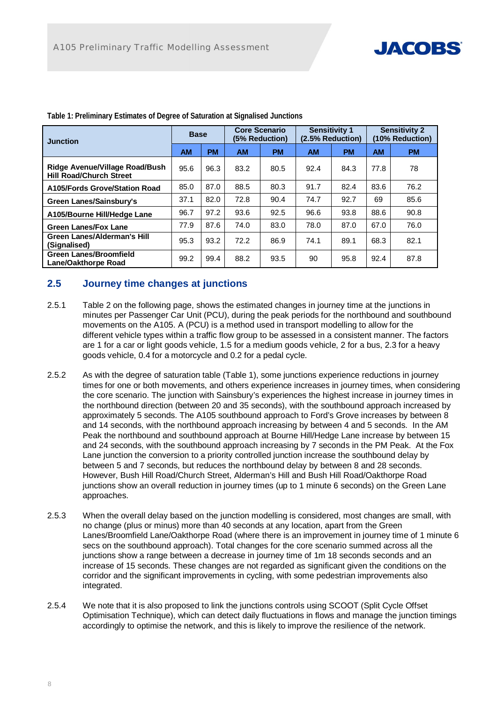

| <b>Junction</b>                                                         | <b>Base</b> |           |           | <b>Core Scenario</b><br>(5% Reduction) | <b>Sensitivity 1</b><br>(2.5% Reduction) |           | <b>Sensitivity 2</b><br>(10% Reduction) |           |  |  |
|-------------------------------------------------------------------------|-------------|-----------|-----------|----------------------------------------|------------------------------------------|-----------|-----------------------------------------|-----------|--|--|
|                                                                         | <b>AM</b>   | <b>PM</b> | <b>AM</b> | <b>PM</b>                              | <b>AM</b>                                | <b>PM</b> | <b>AM</b>                               | <b>PM</b> |  |  |
| <b>Ridge Avenue/Village Road/Bush</b><br><b>Hill Road/Church Street</b> | 95.6        | 96.3      | 83.2      | 80.5                                   | 92.4                                     | 84.3      | 77.8                                    | 78        |  |  |
| A105/Fords Grove/Station Road                                           | 85.0        | 87.0      | 88.5      | 80.3                                   | 91.7                                     | 82.4      | 83.6                                    | 76.2      |  |  |
| Green Lanes/Sainsbury's                                                 | 37.1        | 82.0      | 72.8      | 90.4                                   | 74.7                                     | 92.7      | 69                                      | 85.6      |  |  |
| A105/Bourne Hill/Hedge Lane                                             | 96.7        | 97.2      | 93.6      | 92.5                                   | 96.6                                     | 93.8      | 88.6                                    | 90.8      |  |  |
| <b>Green Lanes/Fox Lane</b>                                             | 77.9        | 87.6      | 74.0      | 83.0                                   | 78.0                                     | 87.0      | 67.0                                    | 76.0      |  |  |
| Green Lanes/Alderman's Hill<br>(Signalised)                             | 95.3        | 93.2      | 72.2      | 86.9                                   | 74.1                                     | 89.1      | 68.3                                    | 82.1      |  |  |
| <b>Green Lanes/Broomfield</b><br>Lane/Oakthorpe Road                    | 99.2        | 99.4      | 88.2      | 93.5                                   | 90                                       | 95.8      | 92.4                                    | 87.8      |  |  |

**Table 1: Preliminary Estimates of Degree of Saturation at Signalised Junctions** 

### **2.5 Journey time changes at junctions**

- 2.5.1 Table 2 on the following page, shows the estimated changes in journey time at the junctions in minutes per Passenger Car Unit (PCU), during the peak periods for the northbound and southbound movements on the A105. A (PCU) is a method used in transport modelling to allow for the different vehicle types within a traffic flow group to be assessed in a consistent manner. The factors are 1 for a car or light goods vehicle, 1.5 for a medium goods vehicle, 2 for a bus, 2.3 for a heavy goods vehicle, 0.4 for a motorcycle and 0.2 for a pedal cycle.
- 2.5.2 As with the degree of saturation table (Table 1), some junctions experience reductions in journey times for one or both movements, and others experience increases in journey times, when considering the core scenario. The junction with Sainsbury's experiences the highest increase in journey times in the northbound direction (between 20 and 35 seconds), with the southbound approach increased by approximately 5 seconds. The A105 southbound approach to Ford's Grove increases by between 8 and 14 seconds, with the northbound approach increasing by between 4 and 5 seconds. In the AM Peak the northbound and southbound approach at Bourne Hill/Hedge Lane increase by between 15 and 24 seconds, with the southbound approach increasing by 7 seconds in the PM Peak. At the Fox Lane junction the conversion to a priority controlled junction increase the southbound delay by between 5 and 7 seconds, but reduces the northbound delay by between 8 and 28 seconds. However, Bush Hill Road/Church Street, Alderman's Hill and Bush Hill Road/Oakthorpe Road junctions show an overall reduction in journey times (up to 1 minute 6 seconds) on the Green Lane approaches.
- 2.5.3 When the overall delay based on the junction modelling is considered, most changes are small, with no change (plus or minus) more than 40 seconds at any location, apart from the Green Lanes/Broomfield Lane/Oakthorpe Road (where there is an improvement in journey time of 1 minute 6 secs on the southbound approach). Total changes for the core scenario summed across all the junctions show a range between a decrease in journey time of 1m 18 seconds seconds and an increase of 15 seconds. These changes are not regarded as significant given the conditions on the corridor and the significant improvements in cycling, with some pedestrian improvements also integrated.
- 2.5.4 We note that it is also proposed to link the junctions controls using SCOOT (Split Cycle Offset Optimisation Technique), which can detect daily fluctuations in flows and manage the junction timings accordingly to optimise the network, and this is likely to improve the resilience of the network.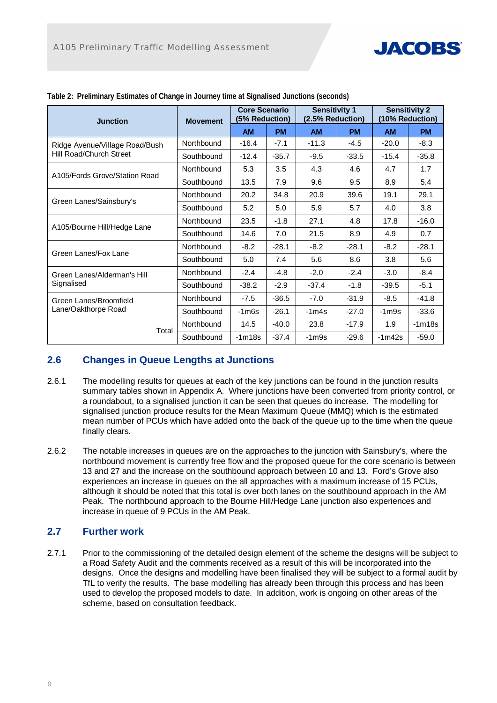

| <b>Junction</b>                | <b>Movement</b> | <b>Core Scenario</b><br>(5% Reduction) |           | <b>Sensitivity 1</b><br>(2.5% Reduction) |           | <b>Sensitivity 2</b><br>(10% Reduction) |           |  |
|--------------------------------|-----------------|----------------------------------------|-----------|------------------------------------------|-----------|-----------------------------------------|-----------|--|
|                                |                 | <b>AM</b>                              | <b>PM</b> | <b>AM</b>                                | <b>PM</b> | <b>AM</b>                               | <b>PM</b> |  |
| Ridge Avenue/Village Road/Bush | Northbound      | $-16.4$                                | $-7.1$    | $-11.3$                                  | $-4.5$    | $-20.0$                                 | $-8.3$    |  |
| Hill Road/Church Street        | Southbound      | $-12.4$                                | $-35.7$   | $-9.5$                                   | $-33.5$   | $-15.4$                                 | $-35.8$   |  |
| A105/Fords Grove/Station Road  | Northbound      | 5.3                                    | 3.5       | 4.3                                      | 4.6       | 4.7                                     | 1.7       |  |
|                                | Southbound      | 13.5                                   | 7.9       | 9.6                                      | 9.5       | 8.9                                     | 5.4       |  |
|                                | Northbound      | 20.2                                   | 34.8      | 20.9                                     | 39.6      | 19.1                                    | 29.1      |  |
| Green Lanes/Sainsbury's        | Southbound      | 5.2                                    | 5.0       | 5.9                                      | 5.7       | 4.0                                     | 3.8       |  |
|                                | Northbound      | 23.5                                   | $-1.8$    | 27.1                                     | 4.8       | 17.8                                    | $-16.0$   |  |
| A105/Bourne Hill/Hedge Lane    | Southbound      | 14.6                                   | 7.0       | 21.5                                     | 8.9       | 4.9                                     | 0.7       |  |
|                                | Northbound      | $-8.2$                                 | $-28.1$   | $-8.2$                                   | $-28.1$   | $-8.2$                                  | $-28.1$   |  |
| Green Lanes/Fox Lane           | Southbound      | 5.0                                    | 7.4       | 5.6                                      | 8.6       | 3.8                                     | 5.6       |  |
| Green Lanes/Alderman's Hill    | Northbound      | $-2.4$                                 | $-4.8$    | $-2.0$                                   | $-2.4$    | $-3.0$                                  | $-8.4$    |  |
| Signalised                     | Southbound      | $-38.2$                                | $-2.9$    | $-37.4$                                  | $-1.8$    | $-39.5$                                 | $-5.1$    |  |
| Green Lanes/Broomfield         | Northbound      | $-7.5$                                 | $-36.5$   | $-7.0$                                   | $-31.9$   | $-8.5$                                  | $-41.8$   |  |
| Lane/Oakthorpe Road            | Southbound      | $-1m6s$                                | $-26.1$   | $-1m4s$                                  | $-27.0$   | $-1m9s$                                 | $-33.6$   |  |
|                                | Northbound      | 14.5                                   | $-40.0$   | 23.8                                     | $-17.9$   | 1.9                                     | $-1m18s$  |  |
| Total                          | Southbound      | $-1m18s$                               | $-37.4$   | -1m9s                                    | $-29.6$   | $-1m42s$                                | $-59.0$   |  |

|  | Table 2: Preliminary Estimates of Change in Journey time at Signalised Junctions (seconds) |  |  |  |
|--|--------------------------------------------------------------------------------------------|--|--|--|
|  |                                                                                            |  |  |  |
|  |                                                                                            |  |  |  |

### **2.6 Changes in Queue Lengths at Junctions**

- 2.6.1 The modelling results for queues at each of the key junctions can be found in the junction results summary tables shown in Appendix A. Where junctions have been converted from priority control, or a roundabout, to a signalised junction it can be seen that queues do increase. The modelling for signalised junction produce results for the Mean Maximum Queue (MMQ) which is the estimated mean number of PCUs which have added onto the back of the queue up to the time when the queue finally clears.
- 2.6.2 The notable increases in queues are on the approaches to the junction with Sainsbury's, where the northbound movement is currently free flow and the proposed queue for the core scenario is between 13 and 27 and the increase on the southbound approach between 10 and 13. Ford's Grove also experiences an increase in queues on the all approaches with a maximum increase of 15 PCUs, although it should be noted that this total is over both lanes on the southbound approach in the AM Peak. The northbound approach to the Bourne Hill/Hedge Lane junction also experiences and increase in queue of 9 PCUs in the AM Peak.

#### **2.7 Further work**

2.7.1 Prior to the commissioning of the detailed design element of the scheme the designs will be subject to a Road Safety Audit and the comments received as a result of this will be incorporated into the designs. Once the designs and modelling have been finalised they will be subject to a formal audit by TfL to verify the results. The base modelling has already been through this process and has been used to develop the proposed models to date. In addition, work is ongoing on other areas of the scheme, based on consultation feedback.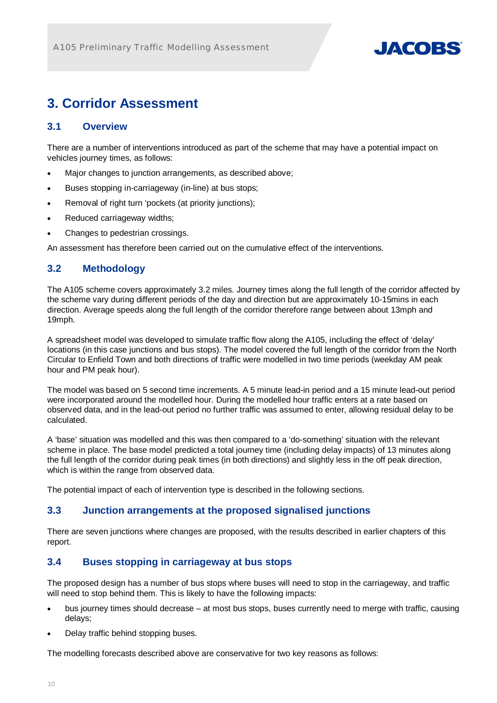

# **3. Corridor Assessment**

#### **3.1 Overview**

There are a number of interventions introduced as part of the scheme that may have a potential impact on vehicles journey times, as follows:

- Major changes to junction arrangements, as described above;
- Buses stopping in-carriageway (in-line) at bus stops;
- Removal of right turn 'pockets (at priority junctions);
- Reduced carriageway widths;
- Changes to pedestrian crossings.

An assessment has therefore been carried out on the cumulative effect of the interventions.

#### **3.2 Methodology**

The A105 scheme covers approximately 3.2 miles. Journey times along the full length of the corridor affected by the scheme vary during different periods of the day and direction but are approximately 10-15mins in each direction. Average speeds along the full length of the corridor therefore range between about 13mph and 19mph.

A spreadsheet model was developed to simulate traffic flow along the A105, including the effect of 'delay' locations (in this case junctions and bus stops). The model covered the full length of the corridor from the North Circular to Enfield Town and both directions of traffic were modelled in two time periods (weekday AM peak hour and PM peak hour).

The model was based on 5 second time increments. A 5 minute lead-in period and a 15 minute lead-out period were incorporated around the modelled hour. During the modelled hour traffic enters at a rate based on observed data, and in the lead-out period no further traffic was assumed to enter, allowing residual delay to be calculated.

A 'base' situation was modelled and this was then compared to a 'do-something' situation with the relevant scheme in place. The base model predicted a total journey time (including delay impacts) of 13 minutes along the full length of the corridor during peak times (in both directions) and slightly less in the off peak direction, which is within the range from observed data.

The potential impact of each of intervention type is described in the following sections.

#### **3.3 Junction arrangements at the proposed signalised junctions**

There are seven junctions where changes are proposed, with the results described in earlier chapters of this report.

### **3.4 Buses stopping in carriageway at bus stops**

The proposed design has a number of bus stops where buses will need to stop in the carriageway, and traffic will need to stop behind them. This is likely to have the following impacts:

- bus journey times should decrease at most bus stops, buses currently need to merge with traffic, causing delays;
- Delay traffic behind stopping buses.

The modelling forecasts described above are conservative for two key reasons as follows: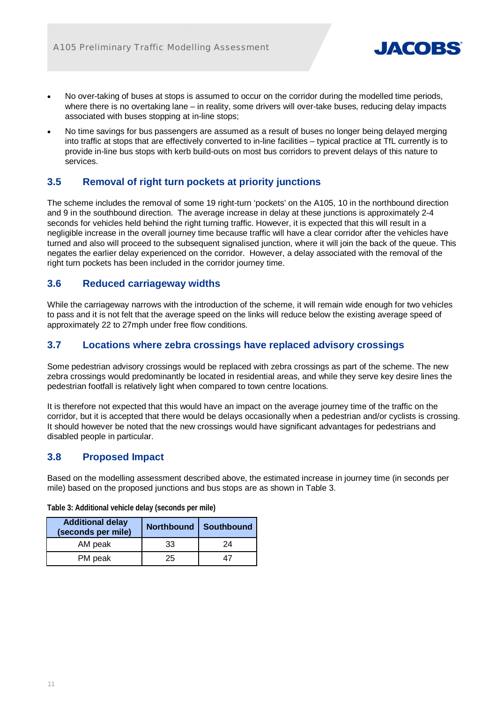

- No over-taking of buses at stops is assumed to occur on the corridor during the modelled time periods, where there is no overtaking lane – in reality, some drivers will over-take buses, reducing delay impacts associated with buses stopping at in-line stops;
- No time savings for bus passengers are assumed as a result of buses no longer being delayed merging into traffic at stops that are effectively converted to in-line facilities – typical practice at TfL currently is to provide in-line bus stops with kerb build-outs on most bus corridors to prevent delays of this nature to services.

### **3.5 Removal of right turn pockets at priority junctions**

The scheme includes the removal of some 19 right-turn 'pockets' on the A105, 10 in the northbound direction and 9 in the southbound direction. The average increase in delay at these junctions is approximately 2-4 seconds for vehicles held behind the right turning traffic. However, it is expected that this will result in a negligible increase in the overall journey time because traffic will have a clear corridor after the vehicles have turned and also will proceed to the subsequent signalised junction, where it will join the back of the queue. This negates the earlier delay experienced on the corridor. However, a delay associated with the removal of the right turn pockets has been included in the corridor journey time.

#### **3.6 Reduced carriageway widths**

While the carriageway narrows with the introduction of the scheme, it will remain wide enough for two vehicles to pass and it is not felt that the average speed on the links will reduce below the existing average speed of approximately 22 to 27mph under free flow conditions.

#### **3.7 Locations where zebra crossings have replaced advisory crossings**

Some pedestrian advisory crossings would be replaced with zebra crossings as part of the scheme. The new zebra crossings would predominantly be located in residential areas, and while they serve key desire lines the pedestrian footfall is relatively light when compared to town centre locations.

It is therefore not expected that this would have an impact on the average journey time of the traffic on the corridor, but it is accepted that there would be delays occasionally when a pedestrian and/or cyclists is crossing. It should however be noted that the new crossings would have significant advantages for pedestrians and disabled people in particular.

### **3.8 Proposed Impact**

Based on the modelling assessment described above, the estimated increase in journey time (in seconds per mile) based on the proposed junctions and bus stops are as shown in Table 3.

| <b>Additional delay</b><br>(seconds per mile) |    | Northbound   Southbound |  |  |  |  |
|-----------------------------------------------|----|-------------------------|--|--|--|--|
| AM peak                                       | 33 | 24                      |  |  |  |  |
| PM peak                                       | 25 | 47                      |  |  |  |  |

**Table 3: Additional vehicle delay (seconds per mile)**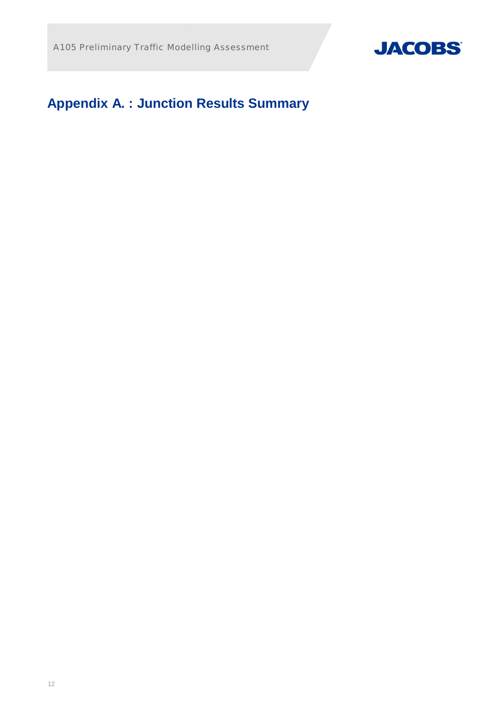

# **Appendix A. : Junction Results Summary**